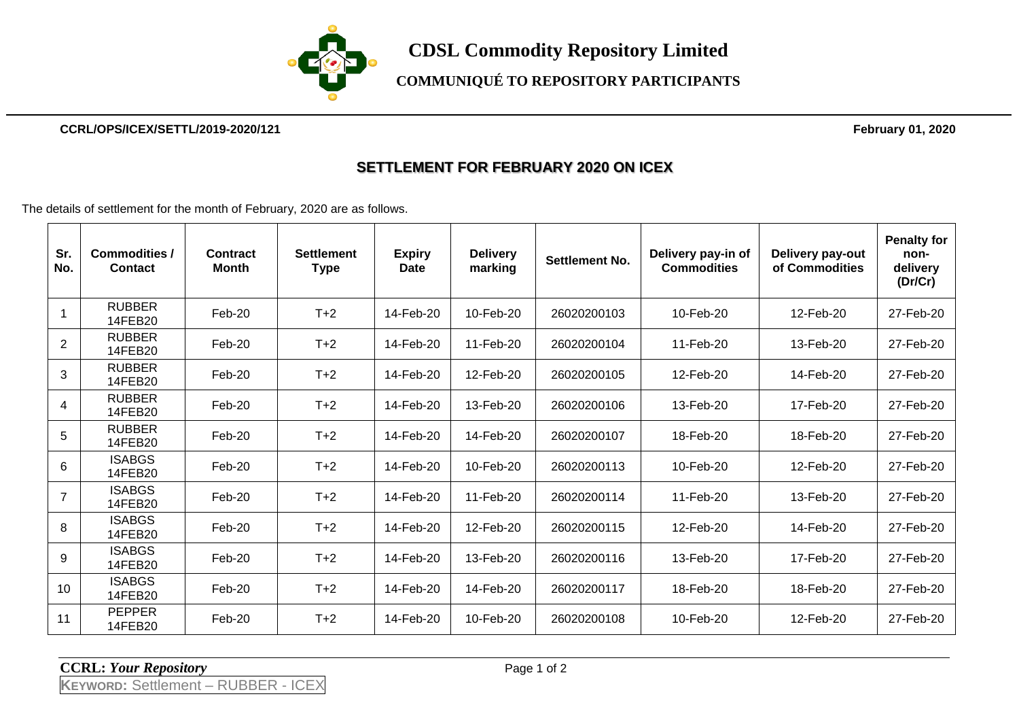

#### **CCRL/OPS/ICEX/SETTL/2019-2020/121 February 01, 2020**

### **SETTLEMENT FOR FEBRUARY 2020 ON ICEX**

The details of settlement for the month of February, 2020 are as follows.

| Sr.<br>No.     | <b>Commodities /</b><br><b>Contact</b> | Contract<br><b>Month</b> | <b>Settlement</b><br><b>Type</b> | <b>Expiry</b><br><b>Date</b> | <b>Delivery</b><br>marking | <b>Settlement No.</b> | Delivery pay-in of<br><b>Commodities</b> | Delivery pay-out<br>of Commodities | <b>Penalty for</b><br>non-<br>delivery<br>(Dr/Cr) |
|----------------|----------------------------------------|--------------------------|----------------------------------|------------------------------|----------------------------|-----------------------|------------------------------------------|------------------------------------|---------------------------------------------------|
|                | <b>RUBBER</b><br>14FEB20               | Feb-20                   | $T+2$                            | 14-Feb-20                    | 10-Feb-20                  | 26020200103           | 10-Feb-20                                | 12-Feb-20                          | 27-Feb-20                                         |
| 2              | <b>RUBBER</b><br>14FEB20               | Feb-20                   | $T+2$                            | 14-Feb-20                    | 11-Feb-20                  | 26020200104           | 11-Feb-20                                | 13-Feb-20                          | 27-Feb-20                                         |
| 3              | <b>RUBBER</b><br>14FEB20               | Feb-20                   | $T+2$                            | 14-Feb-20                    | 12-Feb-20                  | 26020200105           | 12-Feb-20                                | 14-Feb-20                          | 27-Feb-20                                         |
| 4              | <b>RUBBER</b><br>14FEB20               | Feb-20                   | $T+2$                            | 14-Feb-20                    | 13-Feb-20                  | 26020200106           | 13-Feb-20                                | 17-Feb-20                          | 27-Feb-20                                         |
| 5              | <b>RUBBER</b><br>14FEB20               | Feb-20                   | $T+2$                            | 14-Feb-20                    | 14-Feb-20                  | 26020200107           | 18-Feb-20                                | 18-Feb-20                          | 27-Feb-20                                         |
| 6              | <b>ISABGS</b><br>14FEB20               | Feb-20                   | $T+2$                            | 14-Feb-20                    | 10-Feb-20                  | 26020200113           | 10-Feb-20                                | 12-Feb-20                          | 27-Feb-20                                         |
| $\overline{7}$ | <b>ISABGS</b><br>14FEB20               | $Feb-20$                 | $T+2$                            | 14-Feb-20                    | 11-Feb-20                  | 26020200114           | 11-Feb-20                                | 13-Feb-20                          | 27-Feb-20                                         |
| 8              | <b>ISABGS</b><br>14FEB20               | $Feb-20$                 | $T+2$                            | 14-Feb-20                    | 12-Feb-20                  | 26020200115           | 12-Feb-20                                | 14-Feb-20                          | 27-Feb-20                                         |
| 9              | <b>ISABGS</b><br>14FEB20               | Feb-20                   | $T+2$                            | 14-Feb-20                    | 13-Feb-20                  | 26020200116           | 13-Feb-20                                | 17-Feb-20                          | 27-Feb-20                                         |
| 10             | <b>ISABGS</b><br>14FEB20               | $Feb-20$                 | $T+2$                            | 14-Feb-20                    | 14-Feb-20                  | 26020200117           | 18-Feb-20                                | 18-Feb-20                          | 27-Feb-20                                         |
| 11             | <b>PEPPER</b><br>14FEB20               | Feb-20                   | $T+2$                            | 14-Feb-20                    | 10-Feb-20                  | 26020200108           | 10-Feb-20                                | 12-Feb-20                          | 27-Feb-20                                         |

#### **CCRL:** *Your Repository* Page 1 of 2

**KEYWORD:** Settlement – RUBBER - ICEX